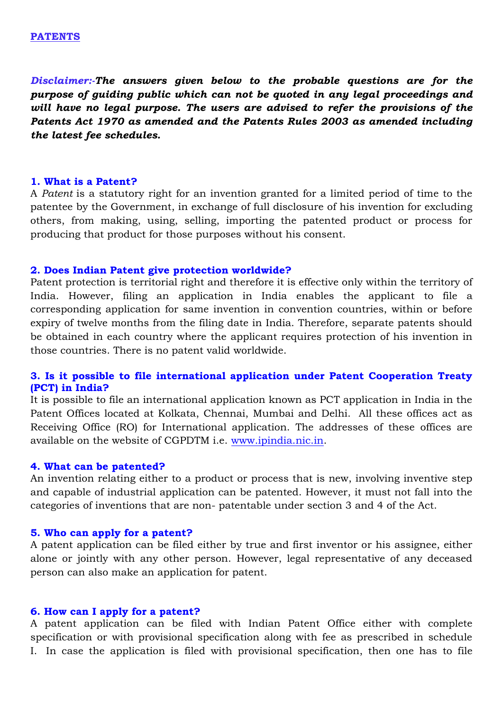*Disclaimer:-The answers given below to the probable questions are for the purpose of guiding public which can not be quoted in any legal proceedings and will have no legal purpose. The users are advised to refer the provisions of the Patents Act 1970 as amended and the Patents Rules 2003 as amended including the latest fee schedules.*

#### **1. What is a Patent?**

A *Patent* is a statutory right for an invention granted for a limited period of time to the patentee by the Government, in exchange of full disclosure of his invention for excluding others, from making, using, selling, importing the patented product or process for producing that product for those purposes without his consent.

#### **2. Does Indian Patent give protection worldwide?**

Patent protection is territorial right and therefore it is effective only within the territory of India. However, filing an application in India enables the applicant to file a corresponding application for same invention in convention countries, within or before expiry of twelve months from the filing date in India. Therefore, separate patents should be obtained in each country where the applicant requires protection of his invention in those countries. There is no patent valid worldwide.

### **3. Is it possible to file international application under Patent Cooperation Treaty (PCT) in India?**

It is possible to file an international application known as PCT application in India in the Patent Offices located at Kolkata, Chennai, Mumbai and Delhi. All these offices act as Receiving Office (RO) for International application. The addresses of these offices are available on the website of CGPDTM i.e. [www.ipindia.nic.in.](http://www.ipindia.nic.in/)

#### **4. What can be patented?**

An invention relating either to a product or process that is new, involving inventive step and capable of industrial application can be patented. However, it must not fall into the categories of inventions that are non- patentable under section 3 and 4 of the Act.

#### **5. Who can apply for a patent?**

A patent application can be filed either by true and first inventor or his assignee, either alone or jointly with any other person. However, legal representative of any deceased person can also make an application for patent.

#### **6. How can I apply for a patent?**

A patent application can be filed with Indian Patent Office either with complete specification or with provisional specification along with fee as prescribed in schedule I. In case the application is filed with provisional specification, then one has to file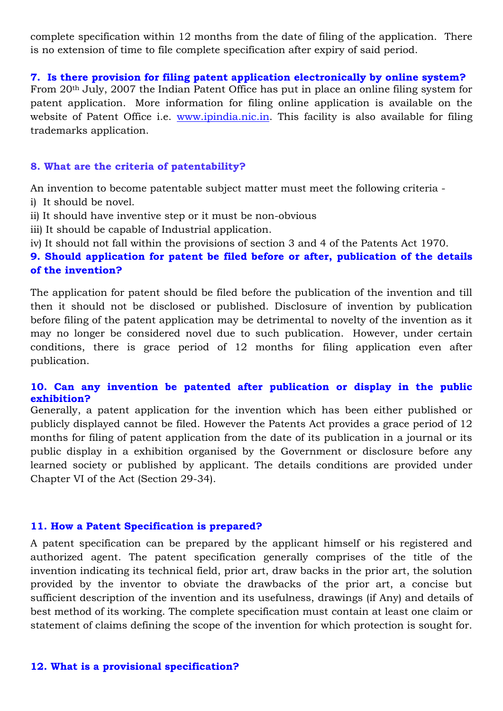complete specification within 12 months from the date of filing of the application. There is no extension of time to file complete specification after expiry of said period.

#### **7. Is there provision for filing patent application electronically by online system?**

From 20th July, 2007 the Indian Patent Office has put in place an online filing system for patent application. More information for filing online application is available on the website of Patent Office i.e. [www.ipindia.nic.in.](http://www.ipindia.nic.in/) This facility is also available for filing trademarks application.

#### **8. What are the criteria of patentability?**

An invention to become patentable subject matter must meet the following criteria -

- i) It should be novel.
- ii) It should have inventive step or it must be non-obvious
- iii) It should be capable of Industrial application.
- iv) It should not fall within the provisions of section 3 and 4 of the Patents Act 1970.

## **9. Should application for patent be filed before or after, publication of the details of the invention?**

The application for patent should be filed before the publication of the invention and till then it should not be disclosed or published. Disclosure of invention by publication before filing of the patent application may be detrimental to novelty of the invention as it may no longer be considered novel due to such publication. However, under certain conditions, there is grace period of 12 months for filing application even after publication.

### **10. Can any invention be patented after publication or display in the public exhibition?**

Generally, a patent application for the invention which has been either published or publicly displayed cannot be filed. However the Patents Act provides a grace period of 12 months for filing of patent application from the date of its publication in a journal or its public display in a exhibition organised by the Government or disclosure before any learned society or published by applicant. The details conditions are provided under Chapter VI of the Act (Section 29-34).

#### **11. How a Patent Specification is prepared?**

A patent specification can be prepared by the applicant himself or his registered and authorized agent. The patent specification generally comprises of the title of the invention indicating its technical field, prior art, draw backs in the prior art, the solution provided by the inventor to obviate the drawbacks of the prior art, a concise but sufficient description of the invention and its usefulness, drawings (if Any) and details of best method of its working. The complete specification must contain at least one claim or statement of claims defining the scope of the invention for which protection is sought for.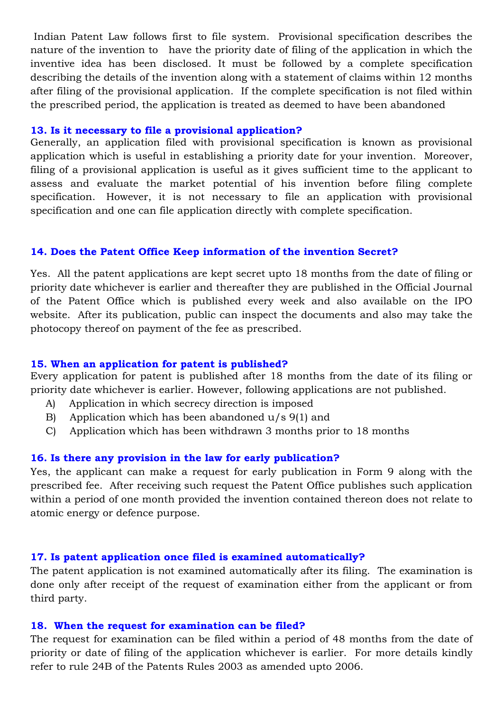Indian Patent Law follows first to file system. Provisional specification describes the nature of the invention to have the priority date of filing of the application in which the inventive idea has been disclosed. It must be followed by a complete specification describing the details of the invention along with a statement of claims within 12 months after filing of the provisional application. If the complete specification is not filed within the prescribed period, the application is treated as deemed to have been abandoned

#### **13. Is it necessary to file a provisional application?**

Generally, an application filed with provisional specification is known as provisional application which is useful in establishing a priority date for your invention. Moreover, filing of a provisional application is useful as it gives sufficient time to the applicant to assess and evaluate the market potential of his invention before filing complete specification. However, it is not necessary to file an application with provisional specification and one can file application directly with complete specification.

#### **14. Does the Patent Office Keep information of the invention Secret?**

Yes. All the patent applications are kept secret upto 18 months from the date of filing or priority date whichever is earlier and thereafter they are published in the Official Journal of the Patent Office which is published every week and also available on the IPO website. After its publication, public can inspect the documents and also may take the photocopy thereof on payment of the fee as prescribed.

#### **15. When an application for patent is published?**

Every application for patent is published after 18 months from the date of its filing or priority date whichever is earlier. However, following applications are not published.

- A) Application in which secrecy direction is imposed
- B) Application which has been abandoned u/s 9(1) and
- C) Application which has been withdrawn 3 months prior to 18 months

### **16. Is there any provision in the law for early publication?**

Yes, the applicant can make a request for early publication in Form 9 along with the prescribed fee. After receiving such request the Patent Office publishes such application within a period of one month provided the invention contained thereon does not relate to atomic energy or defence purpose.

### **17. Is patent application once filed is examined automatically?**

The patent application is not examined automatically after its filing. The examination is done only after receipt of the request of examination either from the applicant or from third party.

#### **18. When the request for examination can be filed?**

The request for examination can be filed within a period of 48 months from the date of priority or date of filing of the application whichever is earlier. For more details kindly refer to rule 24B of the Patents Rules 2003 as amended upto 2006.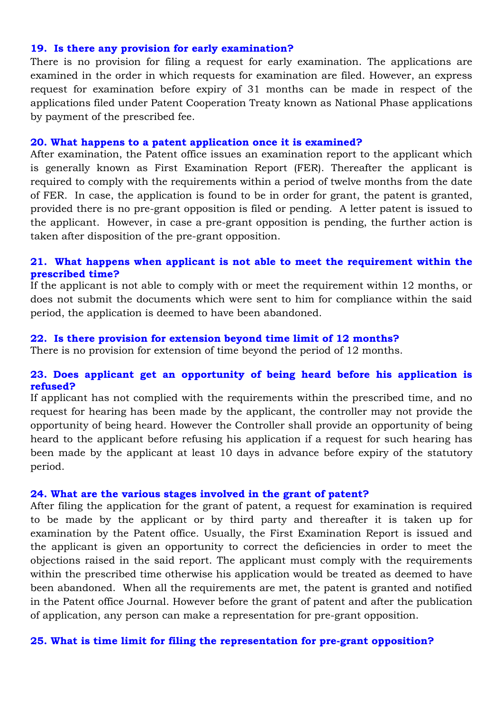#### **19. Is there any provision for early examination?**

There is no provision for filing a request for early examination. The applications are examined in the order in which requests for examination are filed. However, an express request for examination before expiry of 31 months can be made in respect of the applications filed under Patent Cooperation Treaty known as National Phase applications by payment of the prescribed fee.

#### **20. What happens to a patent application once it is examined?**

After examination, the Patent office issues an examination report to the applicant which is generally known as First Examination Report (FER). Thereafter the applicant is required to comply with the requirements within a period of twelve months from the date of FER. In case, the application is found to be in order for grant, the patent is granted, provided there is no pre-grant opposition is filed or pending. A letter patent is issued to the applicant. However, in case a pre-grant opposition is pending, the further action is taken after disposition of the pre-grant opposition.

#### **21. What happens when applicant is not able to meet the requirement within the prescribed time?**

If the applicant is not able to comply with or meet the requirement within 12 months, or does not submit the documents which were sent to him for compliance within the said period, the application is deemed to have been abandoned.

#### **22. Is there provision for extension beyond time limit of 12 months?**

There is no provision for extension of time beyond the period of 12 months.

#### **23. Does applicant get an opportunity of being heard before his application is refused?**

If applicant has not complied with the requirements within the prescribed time, and no request for hearing has been made by the applicant, the controller may not provide the opportunity of being heard. However the Controller shall provide an opportunity of being heard to the applicant before refusing his application if a request for such hearing has been made by the applicant at least 10 days in advance before expiry of the statutory period.

#### **24. What are the various stages involved in the grant of patent?**

After filing the application for the grant of patent, a request for examination is required to be made by the applicant or by third party and thereafter it is taken up for examination by the Patent office. Usually, the First Examination Report is issued and the applicant is given an opportunity to correct the deficiencies in order to meet the objections raised in the said report. The applicant must comply with the requirements within the prescribed time otherwise his application would be treated as deemed to have been abandoned. When all the requirements are met, the patent is granted and notified in the Patent office Journal. However before the grant of patent and after the publication of application, any person can make a representation for pre-grant opposition.

#### **25. What is time limit for filing the representation for pre-grant opposition?**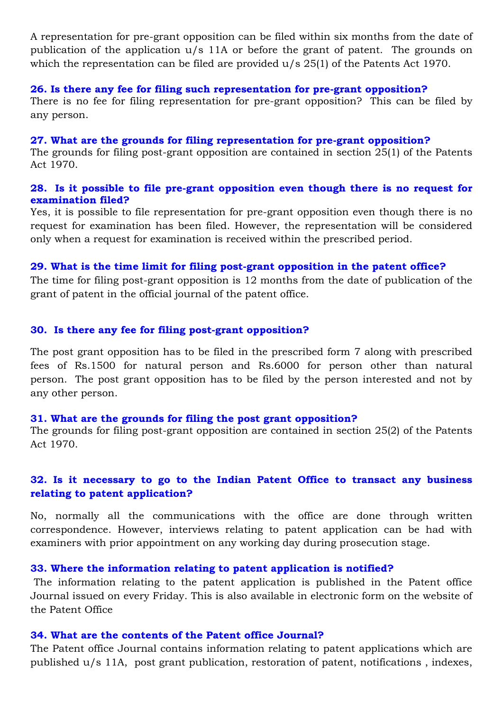A representation for pre-grant opposition can be filed within six months from the date of publication of the application u/s 11A or before the grant of patent. The grounds on which the representation can be filed are provided  $u/s$  25(1) of the Patents Act 1970.

#### **26. Is there any fee for filing such representation for pre-grant opposition?**

There is no fee for filing representation for pre-grant opposition? This can be filed by any person.

#### **27. What are the grounds for filing representation for pre-grant opposition?**

The grounds for filing post-grant opposition are contained in section 25(1) of the Patents Act 1970.

#### **28. Is it possible to file pre-grant opposition even though there is no request for examination filed?**

Yes, it is possible to file representation for pre-grant opposition even though there is no request for examination has been filed. However, the representation will be considered only when a request for examination is received within the prescribed period.

#### **29. What is the time limit for filing post-grant opposition in the patent office?**

The time for filing post-grant opposition is 12 months from the date of publication of the grant of patent in the official journal of the patent office.

#### **30. Is there any fee for filing post-grant opposition?**

The post grant opposition has to be filed in the prescribed form 7 along with prescribed fees of Rs.1500 for natural person and Rs.6000 for person other than natural person. The post grant opposition has to be filed by the person interested and not by any other person.

#### **31. What are the grounds for filing the post grant opposition?**

The grounds for filing post-grant opposition are contained in section 25(2) of the Patents Act 1970.

# **32. Is it necessary to go to the Indian Patent Office to transact any business relating to patent application?**

No, normally all the communications with the office are done through written correspondence. However, interviews relating to patent application can be had with examiners with prior appointment on any working day during prosecution stage.

#### **33. Where the information relating to patent application is notified?**

The information relating to the patent application is published in the Patent office Journal issued on every Friday. This is also available in electronic form on the website of the Patent Office

#### **34. What are the contents of the Patent office Journal?**

The Patent office Journal contains information relating to patent applications which are published u/s 11A, post grant publication, restoration of patent, notifications , indexes,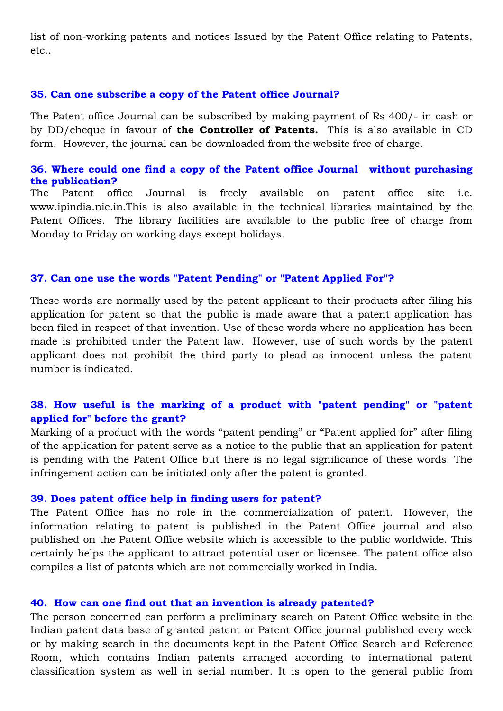list of non-working patents and notices Issued by the Patent Office relating to Patents, etc..

#### **35. Can one subscribe a copy of the Patent office Journal?**

The Patent office Journal can be subscribed by making payment of Rs 400/- in cash or by DD/cheque in favour of **the Controller of Patents.** This is also available in CD form. However, the journal can be downloaded from the website free of charge.

#### **36. Where could one find a copy of the Patent office Journal without purchasing the publication?**

The Patent office Journal is freely available on patent office site i.e. www.ipindia.nic.in.This is also available in the technical libraries maintained by the Patent Offices. The library facilities are available to the public free of charge from Monday to Friday on working days except holidays.

#### **37. Can one use the words "Patent Pending" or "Patent Applied For"?**

These words are normally used by the patent applicant to their products after filing his application for patent so that the public is made aware that a patent application has been filed in respect of that invention. Use of these words where no application has been made is prohibited under the Patent law. However, use of such words by the patent applicant does not prohibit the third party to plead as innocent unless the patent number is indicated.

## **38. How useful is the marking of a product with "patent pending" or "patent applied for" before the grant?**

Marking of a product with the words "patent pending" or "Patent applied for" after filing of the application for patent serve as a notice to the public that an application for patent is pending with the Patent Office but there is no legal significance of these words. The infringement action can be initiated only after the patent is granted.

#### **39. Does patent office help in finding users for patent?**

The Patent Office has no role in the commercialization of patent. However, the information relating to patent is published in the Patent Office journal and also published on the Patent Office website which is accessible to the public worldwide. This certainly helps the applicant to attract potential user or licensee. The patent office also compiles a list of patents which are not commercially worked in India.

#### **40. How can one find out that an invention is already patented?**

The person concerned can perform a preliminary search on Patent Office website in the Indian patent data base of granted patent or Patent Office journal published every week or by making search in the documents kept in the Patent Office Search and Reference Room, which contains Indian patents arranged according to international patent classification system as well in serial number. It is open to the general public from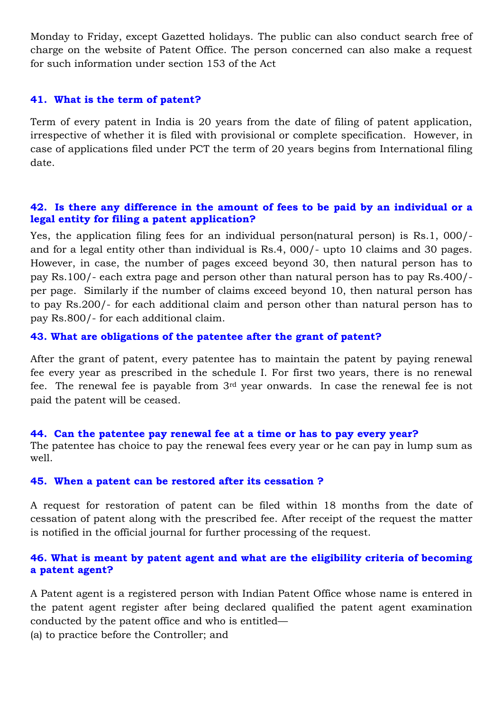Monday to Friday, except Gazetted holidays. The public can also conduct search free of charge on the website of Patent Office. The person concerned can also make a request for such information under section 153 of the Act

#### **41. What is the term of patent?**

Term of every patent in India is 20 years from the date of filing of patent application, irrespective of whether it is filed with provisional or complete specification. However, in case of applications filed under PCT the term of 20 years begins from International filing date.

#### **42. Is there any difference in the amount of fees to be paid by an individual or a legal entity for filing a patent application?**

Yes, the application filing fees for an individual person(natural person) is Rs.1, 000/ and for a legal entity other than individual is Rs.4, 000/- upto 10 claims and 30 pages. However, in case, the number of pages exceed beyond 30, then natural person has to pay Rs.100/- each extra page and person other than natural person has to pay Rs.400/ per page. Similarly if the number of claims exceed beyond 10, then natural person has to pay Rs.200/- for each additional claim and person other than natural person has to pay Rs.800/- for each additional claim.

#### **43. What are obligations of the patentee after the grant of patent?**

After the grant of patent, every patentee has to maintain the patent by paying renewal fee every year as prescribed in the schedule I. For first two years, there is no renewal fee. The renewal fee is payable from 3rd year onwards. In case the renewal fee is not paid the patent will be ceased.

## **44. Can the patentee pay renewal fee at a time or has to pay every year?** The patentee has choice to pay the renewal fees every year or he can pay in lump sum as well.

#### **45. When a patent can be restored after its cessation ?**

A request for restoration of patent can be filed within 18 months from the date of cessation of patent along with the prescribed fee. After receipt of the request the matter is notified in the official journal for further processing of the request.

## **46. What is meant by patent agent and what are the eligibility criteria of becoming a patent agent?**

A Patent agent is a registered person with Indian Patent Office whose name is entered in the patent agent register after being declared qualified the patent agent examination conducted by the patent office and who is entitled—

(a) to practice before the Controller; and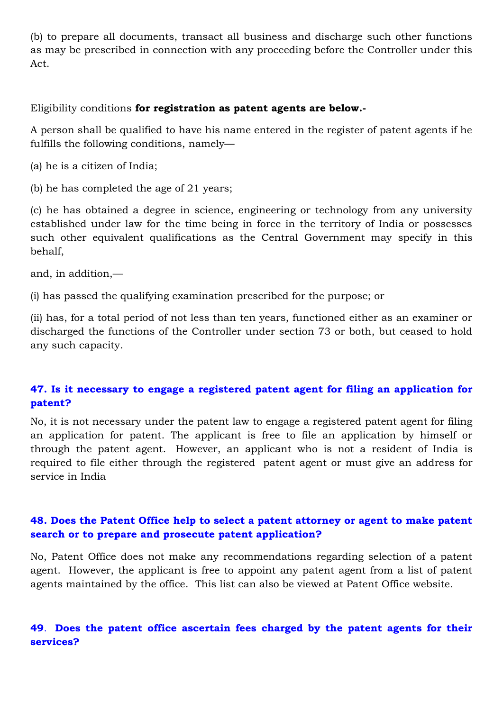(b) to prepare all documents, transact all business and discharge such other functions as may be prescribed in connection with any proceeding before the Controller under this Act.

Eligibility conditions **for registration as patent agents are below.-**

A person shall be qualified to have his name entered in the register of patent agents if he fulfills the following conditions, namely—

(a) he is a citizen of India;

(b) he has completed the age of 21 years;

(c) he has obtained a degree in science, engineering or technology from any university established under law for the time being in force in the territory of India or possesses such other equivalent qualifications as the Central Government may specify in this behalf,

and, in addition,—

(i) has passed the qualifying examination prescribed for the purpose; or

(ii) has, for a total period of not less than ten years, functioned either as an examiner or discharged the functions of the Controller under section 73 or both, but ceased to hold any such capacity.

# **47. Is it necessary to engage a registered patent agent for filing an application for patent?**

No, it is not necessary under the patent law to engage a registered patent agent for filing an application for patent. The applicant is free to file an application by himself or through the patent agent. However, an applicant who is not a resident of India is required to file either through the registered patent agent or must give an address for service in India

# **48. Does the Patent Office help to select a patent attorney or agent to make patent search or to prepare and prosecute patent application?**

No, Patent Office does not make any recommendations regarding selection of a patent agent. However, the applicant is free to appoint any patent agent from a list of patent agents maintained by the office. This list can also be viewed at Patent Office website.

## **49**. **Does the patent office ascertain fees charged by the patent agents for their services?**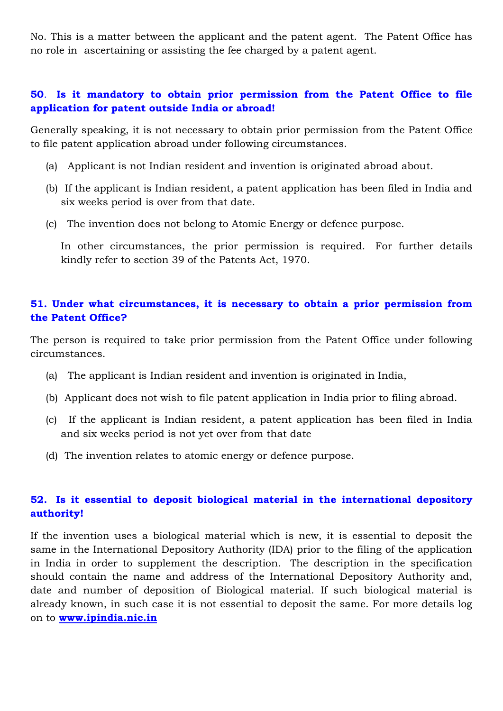No. This is a matter between the applicant and the patent agent. The Patent Office has no role in ascertaining or assisting the fee charged by a patent agent.

# **50**. **Is it mandatory to obtain prior permission from the Patent Office to file application for patent outside India or abroad!**

Generally speaking, it is not necessary to obtain prior permission from the Patent Office to file patent application abroad under following circumstances.

- (a) Applicant is not Indian resident and invention is originated abroad about.
- (b) If the applicant is Indian resident, a patent application has been filed in India and six weeks period is over from that date.
- (c) The invention does not belong to Atomic Energy or defence purpose.

In other circumstances, the prior permission is required. For further details kindly refer to section 39 of the Patents Act, 1970.

## **51. Under what circumstances, it is necessary to obtain a prior permission from the Patent Office?**

The person is required to take prior permission from the Patent Office under following circumstances.

- (a) The applicant is Indian resident and invention is originated in India,
- (b) Applicant does not wish to file patent application in India prior to filing abroad.
- (c) If the applicant is Indian resident, a patent application has been filed in India and six weeks period is not yet over from that date
- (d) The invention relates to atomic energy or defence purpose.

# **52. Is it essential to deposit biological material in the international depository authority!**

If the invention uses a biological material which is new, it is essential to deposit the same in the International Depository Authority (IDA) prior to the filing of the application in India in order to supplement the description. The description in the specification should contain the name and address of the International Depository Authority and, date and number of deposition of Biological material. If such biological material is already known, in such case it is not essential to deposit the same. For more details log on to **[www.ipindia.nic.in](http://www.ipindia.nic.in/)**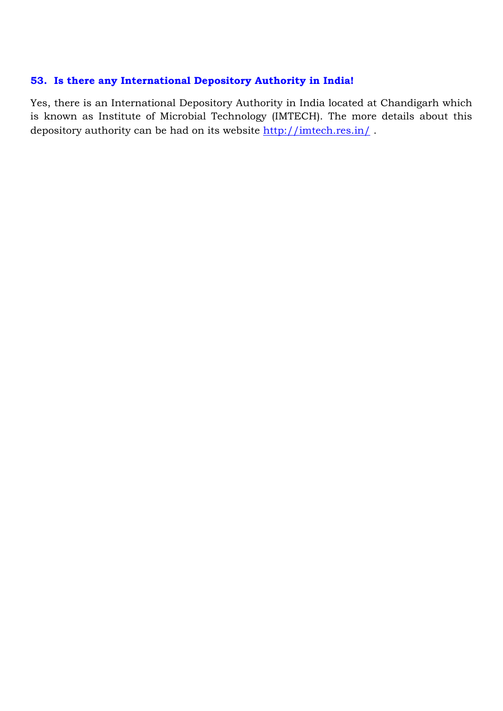## **53. Is there any International Depository Authority in India!**

Yes, there is an International Depository Authority in India located at Chandigarh which is known as Institute of Microbial Technology (IMTECH). The more details about this depository authority can be had on its website<http://imtech.res.in/>.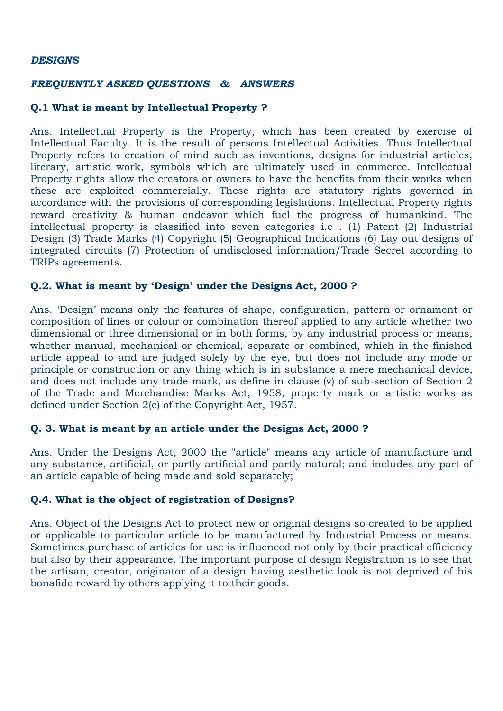#### *DESIGNS*

#### *FREQUENTLY ASKED QUESTIONS & ANSWERS*

#### **Q.1 What is meant by Intellectual Property ?**

Ans. Intellectual Property is the Property, which has been created by exercise of Intellectual Faculty. It is the result of persons Intellectual Activities. Thus Intellectual Property refers to creation of mind such as inventions, designs for industrial articles, literary, artistic work, symbols which are ultimately used in commerce. Intellectual Property rights allow the creators or owners to have the benefits from their works when these are exploited commercially. These rights are statutory rights governed in accordance with the provisions of corresponding legislations. Intellectual Property rights reward creativity & human endeavor which fuel the progress of humankind. The intellectual property is classified into seven categories i.e . (1) Patent (2) Industrial Design (3) Trade Marks (4) Copyright (5) Geographical Indications (6) Lay out designs of integrated circuits (7) Protection of undisclosed information/Trade Secret according to TRIPs agreements.

#### **Q.2. What is meant by 'Design' under the Designs Act, 2000 ?**

Ans. "Design" means only the features of shape, configuration, pattern or ornament or composition of lines or colour or combination thereof applied to any article whether two dimensional or three dimensional or in both forms, by any industrial process or means, whether manual, mechanical or chemical, separate or combined, which in the finished article appeal to and are judged solely by the eye, but does not include any mode or principle or construction or any thing which is in substance a mere mechanical device, and does not include any trade mark, as define in clause (v) of sub-section of Section 2 of the Trade and Merchandise Marks Act, 1958, property mark or artistic works as defined under Section 2(c) of the Copyright Act, 1957.

### **Q. 3. What is meant by an article under the Designs Act, 2000 ?**

Ans. Under the Designs Act, 2000 the "article" means any article of manufacture and any substance, artificial, or partly artificial and partly natural; and includes any part of an article capable of being made and sold separately;

### **Q.4. What is the object of registration of Designs?**

Ans. Object of the Designs Act to protect new or original designs so created to be applied or applicable to particular article to be manufactured by Industrial Process or means. Sometimes purchase of articles for use is influenced not only by their practical efficiency but also by their appearance. The important purpose of design Registration is to see that the artisan, creator, originator of a design having aesthetic look is not deprived of his bonafide reward by others applying it to their goods.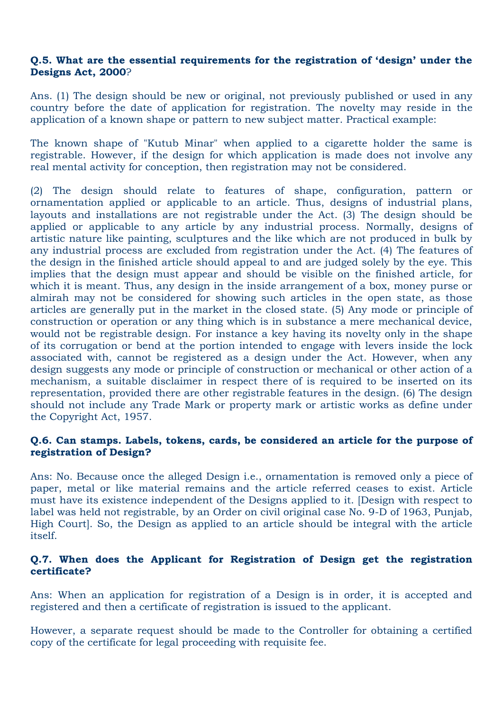#### **Q.5. What are the essential requirements for the registration of 'design' under the Designs Act, 2000**?

Ans. (1) The design should be new or original, not previously published or used in any country before the date of application for registration. The novelty may reside in the application of a known shape or pattern to new subject matter. Practical example:

The known shape of "Kutub Minar" when applied to a cigarette holder the same is registrable. However, if the design for which application is made does not involve any real mental activity for conception, then registration may not be considered.

(2) The design should relate to features of shape, configuration, pattern or ornamentation applied or applicable to an article. Thus, designs of industrial plans, layouts and installations are not registrable under the Act. (3) The design should be applied or applicable to any article by any industrial process. Normally, designs of artistic nature like painting, sculptures and the like which are not produced in bulk by any industrial process are excluded from registration under the Act. (4) The features of the design in the finished article should appeal to and are judged solely by the eye. This implies that the design must appear and should be visible on the finished article, for which it is meant. Thus, any design in the inside arrangement of a box, money purse or almirah may not be considered for showing such articles in the open state, as those articles are generally put in the market in the closed state. (5) Any mode or principle of construction or operation or any thing which is in substance a mere mechanical device, would not be registrable design. For instance a key having its novelty only in the shape of its corrugation or bend at the portion intended to engage with levers inside the lock associated with, cannot be registered as a design under the Act. However, when any design suggests any mode or principle of construction or mechanical or other action of a mechanism, a suitable disclaimer in respect there of is required to be inserted on its representation, provided there are other registrable features in the design. (6) The design should not include any Trade Mark or property mark or artistic works as define under the Copyright Act, 1957.

### **Q.6. Can stamps. Labels, tokens, cards, be considered an article for the purpose of registration of Design?**

Ans: No. Because once the alleged Design i.e., ornamentation is removed only a piece of paper, metal or like material remains and the article referred ceases to exist. Article must have its existence independent of the Designs applied to it. [Design with respect to label was held not registrable, by an Order on civil original case No. 9-D of 1963, Punjab, High Court]. So, the Design as applied to an article should be integral with the article itself.

### **Q.7. When does the Applicant for Registration of Design get the registration certificate?**

Ans: When an application for registration of a Design is in order, it is accepted and registered and then a certificate of registration is issued to the applicant.

However, a separate request should be made to the Controller for obtaining a certified copy of the certificate for legal proceeding with requisite fee.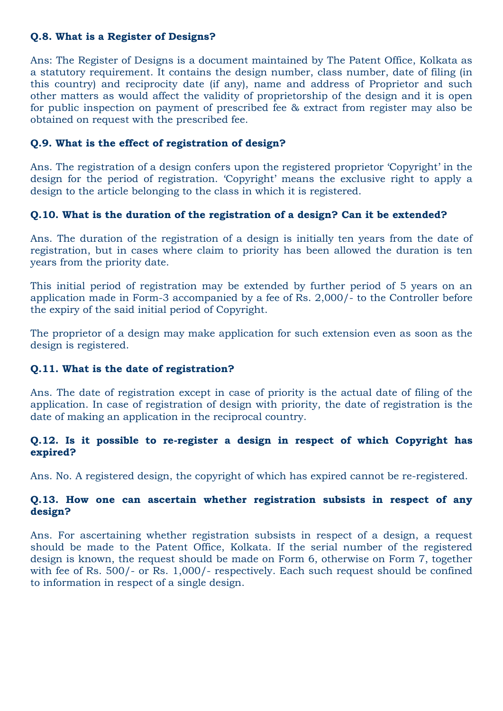## **Q.8. What is a Register of Designs?**

Ans: The Register of Designs is a document maintained by The Patent Office, Kolkata as a statutory requirement. It contains the design number, class number, date of filing (in this country) and reciprocity date (if any), name and address of Proprietor and such other matters as would affect the validity of proprietorship of the design and it is open for public inspection on payment of prescribed fee & extract from register may also be obtained on request with the prescribed fee.

## **Q.9. What is the effect of registration of design?**

Ans. The registration of a design confers upon the registered proprietor "Copyright" in the design for the period of registration. 'Copyright' means the exclusive right to apply a design to the article belonging to the class in which it is registered.

## **Q.10. What is the duration of the registration of a design? Can it be extended?**

Ans. The duration of the registration of a design is initially ten years from the date of registration, but in cases where claim to priority has been allowed the duration is ten years from the priority date.

This initial period of registration may be extended by further period of 5 years on an application made in Form-3 accompanied by a fee of Rs. 2,000/- to the Controller before the expiry of the said initial period of Copyright.

The proprietor of a design may make application for such extension even as soon as the design is registered.

## **Q.11. What is the date of registration?**

Ans. The date of registration except in case of priority is the actual date of filing of the application. In case of registration of design with priority, the date of registration is the date of making an application in the reciprocal country.

## **Q.12. Is it possible to re-register a design in respect of which Copyright has expired?**

Ans. No. A registered design, the copyright of which has expired cannot be re-registered.

## **Q.13. How one can ascertain whether registration subsists in respect of any design?**

Ans. For ascertaining whether registration subsists in respect of a design, a request should be made to the Patent Office, Kolkata. If the serial number of the registered design is known, the request should be made on Form 6, otherwise on Form 7, together with fee of Rs. 500/- or Rs. 1,000/- respectively. Each such request should be confined to information in respect of a single design.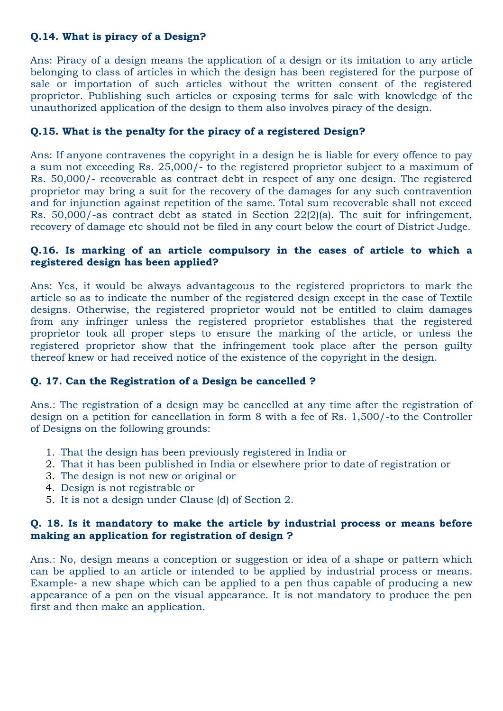## **Q.14. What is piracy of a Design?**

Ans: Piracy of a design means the application of a design or its imitation to any article belonging to class of articles in which the design has been registered for the purpose of sale or importation of such articles without the written consent of the registered proprietor. Publishing such articles or exposing terms for sale with knowledge of the unauthorized application of the design to them also involves piracy of the design.

## **Q.15. What is the penalty for the piracy of a registered Design?**

Ans: If anyone contravenes the copyright in a design he is liable for every offence to pay a sum not exceeding Rs. 25,000/- to the registered proprietor subject to a maximum of Rs. 50,000/- recoverable as contract debt in respect of any one design. The registered proprietor may bring a suit for the recovery of the damages for any such contravention and for injunction against repetition of the same. Total sum recoverable shall not exceed Rs. 50,000/-as contract debt as stated in Section 22(2)(a). The suit for infringement, recovery of damage etc should not be filed in any court below the court of District Judge.

### **Q.16. Is marking of an article compulsory in the cases of article to which a registered design has been applied?**

Ans: Yes, it would be always advantageous to the registered proprietors to mark the article so as to indicate the number of the registered design except in the case of Textile designs. Otherwise, the registered proprietor would not be entitled to claim damages from any infringer unless the registered proprietor establishes that the registered proprietor took all proper steps to ensure the marking of the article, or unless the registered proprietor show that the infringement took place after the person guilty thereof knew or had received notice of the existence of the copyright in the design.

### **Q. 17. Can the Registration of a Design be cancelled ?**

Ans.: The registration of a design may be cancelled at any time after the registration of design on a petition for cancellation in form 8 with a fee of Rs. 1,500/-to the Controller of Designs on the following grounds:

- 1. That the design has been previously registered in India or
- 2. That it has been published in India or elsewhere prior to date of registration or
- 3. The design is not new or original or
- 4. Design is not registrable or
- 5. It is not a design under Clause (d) of Section 2.

### **Q. 18. Is it mandatory to make the article by industrial process or means before making an application for registration of design ?**

Ans.: No, design means a conception or suggestion or idea of a shape or pattern which can be applied to an article or intended to be applied by industrial process or means. Example- a new shape which can be applied to a pen thus capable of producing a new appearance of a pen on the visual appearance. It is not mandatory to produce the pen first and then make an application.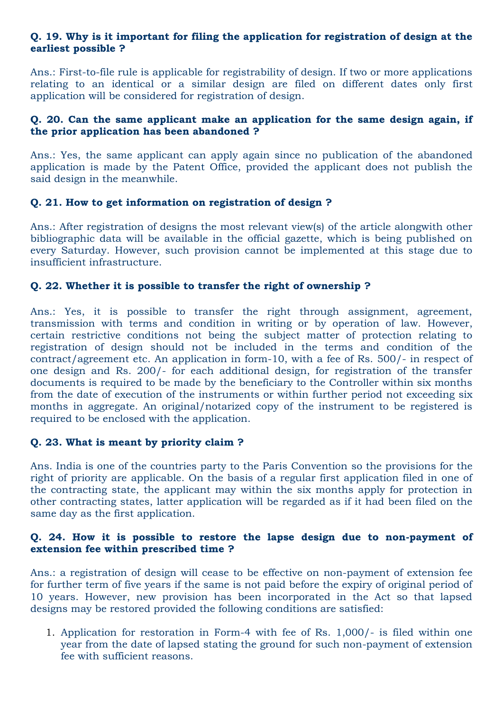### **Q. 19. Why is it important for filing the application for registration of design at the earliest possible ?**

Ans.: First-to-file rule is applicable for registrability of design. If two or more applications relating to an identical or a similar design are filed on different dates only first application will be considered for registration of design.

## **Q. 20. Can the same applicant make an application for the same design again, if the prior application has been abandoned ?**

Ans.: Yes, the same applicant can apply again since no publication of the abandoned application is made by the Patent Office, provided the applicant does not publish the said design in the meanwhile.

## **Q. 21. How to get information on registration of design ?**

Ans.: After registration of designs the most relevant view(s) of the article alongwith other bibliographic data will be available in the official gazette, which is being published on every Saturday. However, such provision cannot be implemented at this stage due to insufficient infrastructure.

## **Q. 22. Whether it is possible to transfer the right of ownership ?**

Ans.: Yes, it is possible to transfer the right through assignment, agreement, transmission with terms and condition in writing or by operation of law. However, certain restrictive conditions not being the subject matter of protection relating to registration of design should not be included in the terms and condition of the contract/agreement etc. An application in form-10, with a fee of Rs. 500/- in respect of one design and Rs. 200/- for each additional design, for registration of the transfer documents is required to be made by the beneficiary to the Controller within six months from the date of execution of the instruments or within further period not exceeding six months in aggregate. An original/notarized copy of the instrument to be registered is required to be enclosed with the application.

### **Q. 23. What is meant by priority claim ?**

Ans. India is one of the countries party to the Paris Convention so the provisions for the right of priority are applicable. On the basis of a regular first application filed in one of the contracting state, the applicant may within the six months apply for protection in other contracting states, latter application will be regarded as if it had been filed on the same day as the first application.

### **Q. 24. How it is possible to restore the lapse design due to non-payment of extension fee within prescribed time ?**

Ans.: a registration of design will cease to be effective on non-payment of extension fee for further term of five years if the same is not paid before the expiry of original period of 10 years. However, new provision has been incorporated in the Act so that lapsed designs may be restored provided the following conditions are satisfied:

1. Application for restoration in Form-4 with fee of Rs. 1,000/- is filed within one year from the date of lapsed stating the ground for such non-payment of extension fee with sufficient reasons.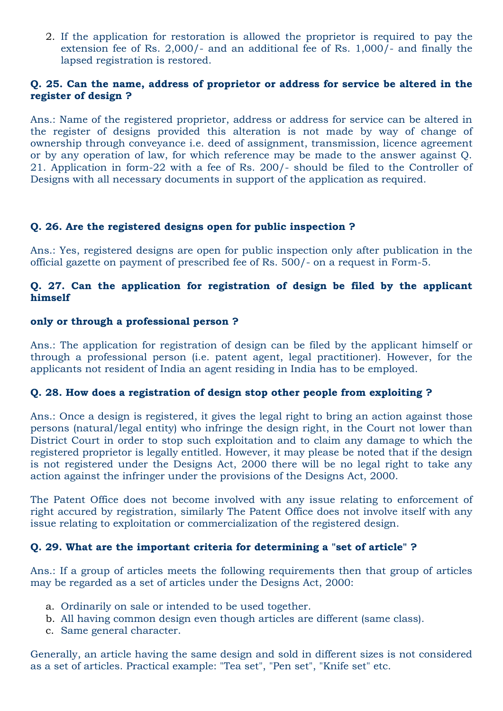2. If the application for restoration is allowed the proprietor is required to pay the extension fee of Rs. 2,000/- and an additional fee of Rs. 1,000/- and finally the lapsed registration is restored.

## **Q. 25. Can the name, address of proprietor or address for service be altered in the register of design ?**

Ans.: Name of the registered proprietor, address or address for service can be altered in the register of designs provided this alteration is not made by way of change of ownership through conveyance i.e. deed of assignment, transmission, licence agreement or by any operation of law, for which reference may be made to the answer against Q. 21. Application in form-22 with a fee of Rs. 200/- should be filed to the Controller of Designs with all necessary documents in support of the application as required.

### **Q. 26. Are the registered designs open for public inspection ?**

Ans.: Yes, registered designs are open for public inspection only after publication in the official gazette on payment of prescribed fee of Rs. 500/- on a request in Form-5.

### **Q. 27. Can the application for registration of design be filed by the applicant himself**

## **only or through a professional person ?**

Ans.: The application for registration of design can be filed by the applicant himself or through a professional person (i.e. patent agent, legal practitioner). However, for the applicants not resident of India an agent residing in India has to be employed.

## **Q. 28. How does a registration of design stop other people from exploiting ?**

Ans.: Once a design is registered, it gives the legal right to bring an action against those persons (natural/legal entity) who infringe the design right, in the Court not lower than District Court in order to stop such exploitation and to claim any damage to which the registered proprietor is legally entitled. However, it may please be noted that if the design is not registered under the Designs Act, 2000 there will be no legal right to take any action against the infringer under the provisions of the Designs Act, 2000.

The Patent Office does not become involved with any issue relating to enforcement of right accured by registration, similarly The Patent Office does not involve itself with any issue relating to exploitation or commercialization of the registered design.

## **Q. 29. What are the important criteria for determining a "set of article" ?**

Ans.: If a group of articles meets the following requirements then that group of articles may be regarded as a set of articles under the Designs Act, 2000:

- a. Ordinarily on sale or intended to be used together.
- b. All having common design even though articles are different (same class).
- c. Same general character.

Generally, an article having the same design and sold in different sizes is not considered as a set of articles. Practical example: "Tea set", "Pen set", "Knife set" etc.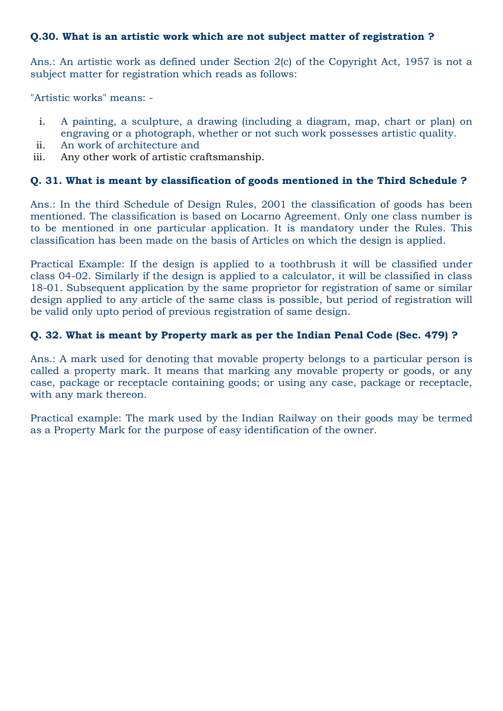## **Q.30. What is an artistic work which are not subject matter of registration ?**

Ans.: An artistic work as defined under Section 2(c) of the Copyright Act, 1957 is not a subject matter for registration which reads as follows:

"Artistic works" means: -

- i. A painting, a sculpture, a drawing (including a diagram, map, chart or plan) on engraving or a photograph, whether or not such work possesses artistic quality.
- ii. An work of architecture and
- iii. Any other work of artistic craftsmanship.

## **Q. 31. What is meant by classification of goods mentioned in the Third Schedule ?**

Ans.: In the third Schedule of Design Rules, 2001 the classification of goods has been mentioned. The classification is based on Locarno Agreement. Only one class number is to be mentioned in one particular application. It is mandatory under the Rules. This classification has been made on the basis of Articles on which the design is applied.

Practical Example: If the design is applied to a toothbrush it will be classified under class 04-02. Similarly if the design is applied to a calculator, it will be classified in class 18-01. Subsequent application by the same proprietor for registration of same or similar design applied to any article of the same class is possible, but period of registration will be valid only upto period of previous registration of same design.

## **Q. 32. What is meant by Property mark as per the Indian Penal Code (Sec. 479) ?**

Ans.: A mark used for denoting that movable property belongs to a particular person is called a property mark. It means that marking any movable property or goods, or any case, package or receptacle containing goods; or using any case, package or receptacle, with any mark thereon.

Practical example: The mark used by the Indian Railway on their goods may be termed as a Property Mark for the purpose of easy identification of the owner.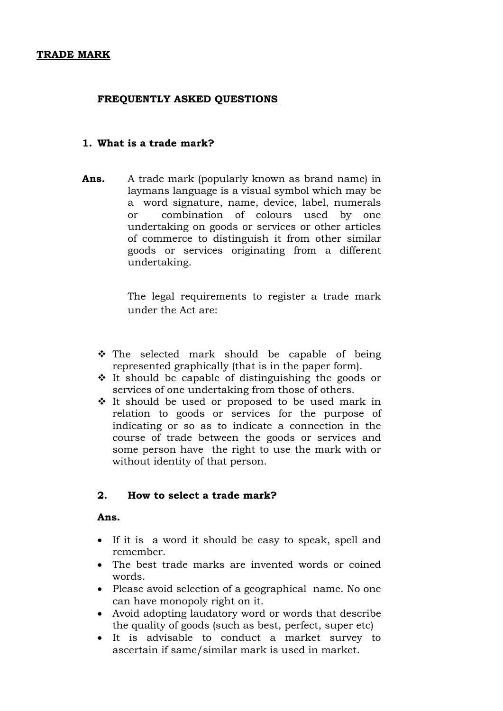### **FREQUENTLY ASKED QUESTIONS**

### **1. What is a trade mark?**

**Ans.** A trade mark (popularly known as brand name) in laymans language is a visual symbol which may be a word signature, name, device, label, numerals or combination of colours used by one undertaking on goods or services or other articles of commerce to distinguish it from other similar goods or services originating from a different undertaking.

> The legal requirements to register a trade mark under the Act are:

- $\hat{P}$  The selected mark should be capable of being represented graphically (that is in the paper form).
- $\div$  It should be capable of distinguishing the goods or services of one undertaking from those of others.
- $\cdot$  It should be used or proposed to be used mark in relation to goods or services for the purpose of indicating or so as to indicate a connection in the course of trade between the goods or services and some person have the right to use the mark with or without identity of that person.

### **2. How to select a trade mark?**

#### **Ans.**

- If it is a word it should be easy to speak, spell and remember.
- The best trade marks are invented words or coined words.
- Please avoid selection of a geographical name. No one can have monopoly right on it.
- Avoid adopting laudatory word or words that describe the quality of goods (such as best, perfect, super etc)
- It is advisable to conduct a market survey to ascertain if same/similar mark is used in market.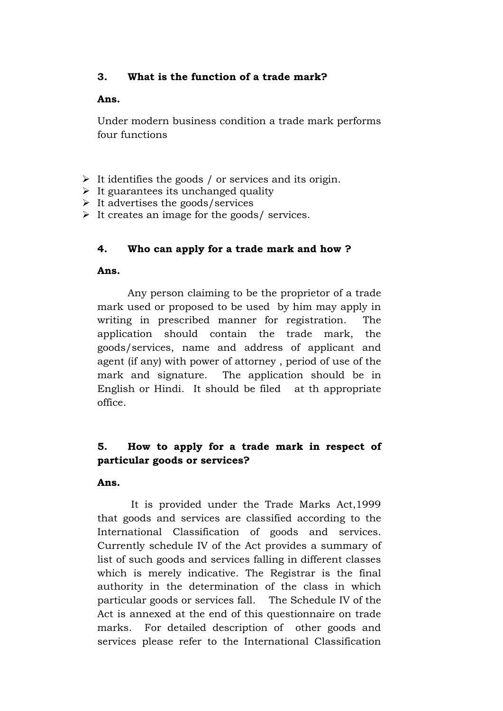## **3. What is the function of a trade mark?**

#### **Ans.**

Under modern business condition a trade mark performs four functions

- $\triangleright$  It identifies the goods / or services and its origin.
- $\triangleright$  It guarantees its unchanged quality
- $\triangleright$  It advertises the goods/services
- It creates an image for the goods/ services.

## **4. Who can apply for a trade mark and how ?**

### **Ans.**

Any person claiming to be the proprietor of a trade mark used or proposed to be used by him may apply in writing in prescribed manner for registration. The application should contain the trade mark, the goods/services, name and address of applicant and agent (if any) with power of attorney , period of use of the mark and signature. The application should be in English or Hindi. It should be filed at th appropriate office.

# **5. How to apply for a trade mark in respect of particular goods or services?**

### **Ans.**

It is provided under the Trade Marks Act,1999 that goods and services are classified according to the International Classification of goods and services. Currently schedule IV of the Act provides a summary of list of such goods and services falling in different classes which is merely indicative. The Registrar is the final authority in the determination of the class in which particular goods or services fall. The Schedule IV of the Act is annexed at the end of this questionnaire on trade marks. For detailed description of other goods and services please refer to the International Classification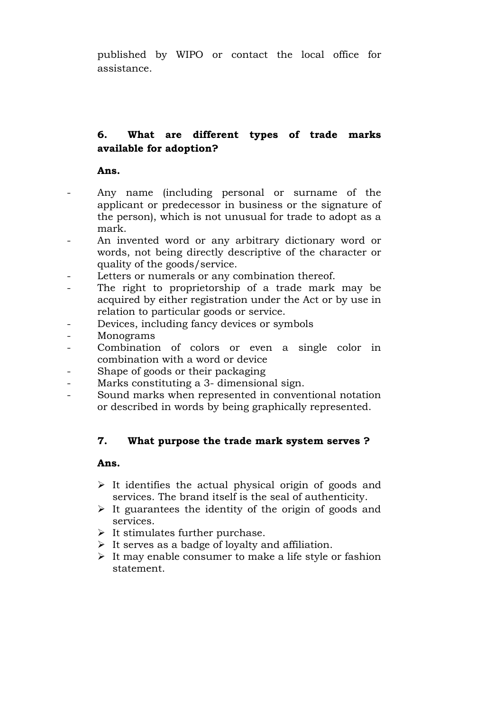published by WIPO or contact the local office for assistance.

# **6. What are different types of trade marks available for adoption?**

**Ans.**

- Any name (including personal or surname of the applicant or predecessor in business or the signature of the person), which is not unusual for trade to adopt as a mark.
- An invented word or any arbitrary dictionary word or words, not being directly descriptive of the character or quality of the goods/service.
- Letters or numerals or any combination thereof.
- The right to proprietorship of a trade mark may be acquired by either registration under the Act or by use in relation to particular goods or service.
- Devices, including fancy devices or symbols
- **Monograms**
- Combination of colors or even a single color in combination with a word or device
- Shape of goods or their packaging
- Marks constituting a 3- dimensional sign.
- Sound marks when represented in conventional notation or described in words by being graphically represented.

## **7. What purpose the trade mark system serves ?**

### **Ans.**

- $\triangleright$  It identifies the actual physical origin of goods and services. The brand itself is the seal of authenticity.
- $\triangleright$  It guarantees the identity of the origin of goods and services.
- $\triangleright$  It stimulates further purchase.
- $\triangleright$  It serves as a badge of loyalty and affiliation.
- $\triangleright$  It may enable consumer to make a life style or fashion statement.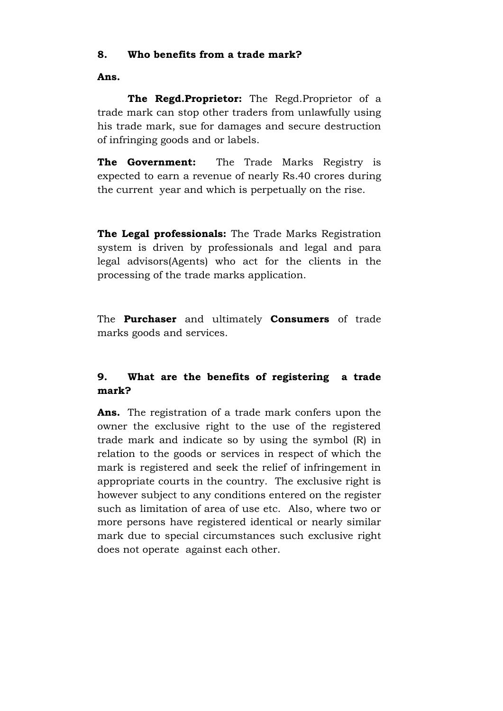## **8. Who benefits from a trade mark?**

**Ans.**

**The Regd.Proprietor:** The Regd.Proprietor of a trade mark can stop other traders from unlawfully using his trade mark, sue for damages and secure destruction of infringing goods and or labels.

**The Government:** The Trade Marks Registry is expected to earn a revenue of nearly Rs.40 crores during the current year and which is perpetually on the rise.

**The Legal professionals:** The Trade Marks Registration system is driven by professionals and legal and para legal advisors(Agents) who act for the clients in the processing of the trade marks application.

The **Purchaser** and ultimately **Consumers** of trade marks goods and services.

# **9. What are the benefits of registering a trade mark?**

**Ans.** The registration of a trade mark confers upon the owner the exclusive right to the use of the registered trade mark and indicate so by using the symbol (R) in relation to the goods or services in respect of which the mark is registered and seek the relief of infringement in appropriate courts in the country. The exclusive right is however subject to any conditions entered on the register such as limitation of area of use etc. Also, where two or more persons have registered identical or nearly similar mark due to special circumstances such exclusive right does not operate against each other.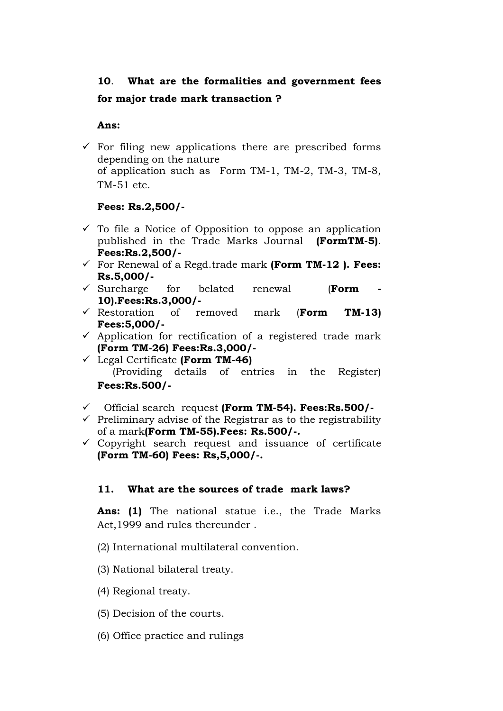# **10**. **What are the formalities and government fees**

# **for major trade mark transaction ?**

**Ans:**

 $\checkmark$  For filing new applications there are prescribed forms depending on the nature of application such as Form TM-1, TM-2, TM-3, TM-8, TM-51 etc.

## **Fees: Rs.2,500/-**

- $\checkmark$  To file a Notice of Opposition to oppose an application published in the Trade Marks Journal **(FormTM-5)**. **Fees:Rs.2,500/-**
- For Renewal of a Regd.trade mark **(Form TM-12 ). Fees: Rs.5,000/-**
- Surcharge for belated renewal (**Form - 10).Fees:Rs.3,000/-**
- Restoration of removed mark (**Form TM-13) Fees:5,000/-**
- $\checkmark$  Application for rectification of a registered trade mark **(Form TM-26) Fees:Rs.3,000/-**
- Legal Certificate **(Form TM-46)**  (Providing details of entries in the Register) **Fees:Rs.500/-**
- Official search request **(Form TM-54). Fees:Rs.500/-**
- $\checkmark$  Preliminary advise of the Registrar as to the registrability of a mark**(Form TM-55).Fees: Rs.500/-.**
- $\checkmark$  Copyright search request and issuance of certificate **(Form TM-60) Fees: Rs,5,000/-.**

## **11. What are the sources of trade mark laws?**

**Ans: (1)** The national statue i.e., the Trade Marks Act,1999 and rules thereunder .

- (2) International multilateral convention.
- (3) National bilateral treaty.
- (4) Regional treaty.
- (5) Decision of the courts.
- (6) Office practice and rulings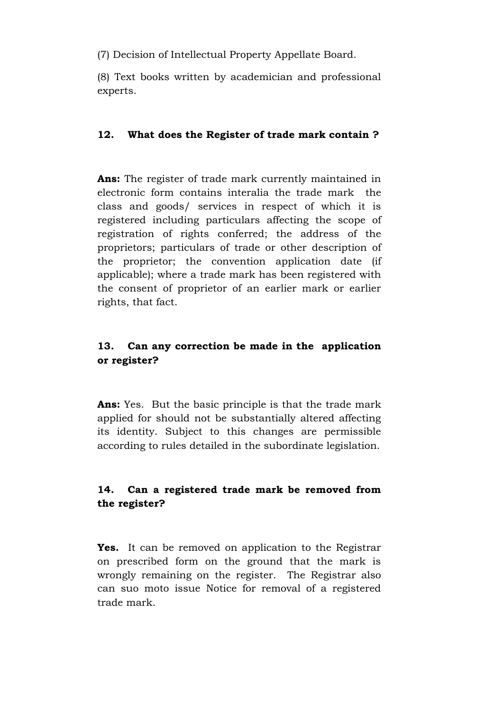(7) Decision of Intellectual Property Appellate Board.

(8) Text books written by academician and professional experts.

## **12. What does the Register of trade mark contain ?**

**Ans:** The register of trade mark currently maintained in electronic form contains interalia the trade mark the class and goods/ services in respect of which it is registered including particulars affecting the scope of registration of rights conferred; the address of the proprietors; particulars of trade or other description of the proprietor; the convention application date (if applicable); where a trade mark has been registered with the consent of proprietor of an earlier mark or earlier rights, that fact.

# **13. Can any correction be made in the application or register?**

**Ans:** Yes. But the basic principle is that the trade mark applied for should not be substantially altered affecting its identity. Subject to this changes are permissible according to rules detailed in the subordinate legislation.

# **14. Can a registered trade mark be removed from the register?**

**Yes.** It can be removed on application to the Registrar on prescribed form on the ground that the mark is wrongly remaining on the register. The Registrar also can suo moto issue Notice for removal of a registered trade mark.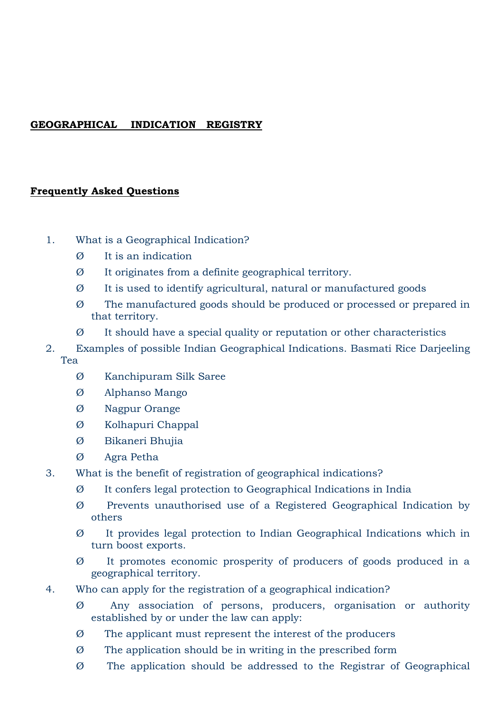# **GEOGRAPHICAL INDICATION REGISTRY**

## **Frequently Asked Questions**

- 1. What is a Geographical Indication?
	- Ø It is an indication
	- Ø It originates from a definite geographical territory.
	- Ø It is used to identify agricultural, natural or manufactured goods
	- Ø The manufactured goods should be produced or processed or prepared in that territory.
	- Ø It should have a special quality or reputation or other characteristics
- 2. Examples of possible Indian Geographical Indications. Basmati Rice Darjeeling Tea
	- Ø Kanchipuram Silk Saree
	- Ø Alphanso Mango
	- Ø Nagpur Orange
	- Ø Kolhapuri Chappal
	- Ø Bikaneri Bhujia
	- Ø Agra Petha
- 3. What is the benefit of registration of geographical indications?
	- Ø It confers legal protection to Geographical Indications in India
	- Ø Prevents unauthorised use of a Registered Geographical Indication by others
	- Ø It provides legal protection to Indian Geographical Indications which in turn boost exports.
	- Ø It promotes economic prosperity of producers of goods produced in a geographical territory.
- 4. Who can apply for the registration of a geographical indication?
	- Ø Any association of persons, producers, organisation or authority established by or under the law can apply:
	- Ø The applicant must represent the interest of the producers
	- Ø The application should be in writing in the prescribed form
	- Ø The application should be addressed to the Registrar of Geographical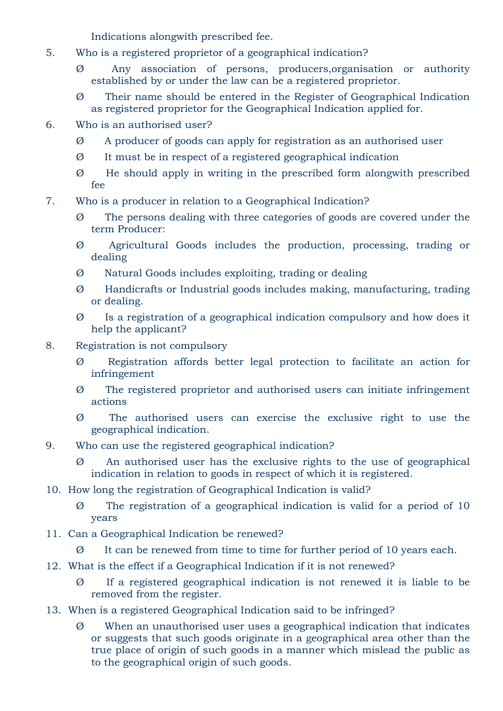Indications alongwith prescribed fee.

- 5. Who is a registered proprietor of a geographical indication?
	- Any association of persons, producers,organisation or authority established by or under the law can be a registered proprietor.
	- Ø Their name should be entered in the Register of Geographical Indication as registered proprietor for the Geographical Indication applied for.
- 6. Who is an authorised user?
	- Ø A producer of goods can apply for registration as an authorised user
	- Ø It must be in respect of a registered geographical indication
	- Ø He should apply in writing in the prescribed form alongwith prescribed fee
- 7. Who is a producer in relation to a Geographical Indication?
	- Ø The persons dealing with three categories of goods are covered under the term Producer:
	- Ø Agricultural Goods includes the production, processing, trading or dealing
	- Ø Natural Goods includes exploiting, trading or dealing
	- Ø Handicrafts or Industrial goods includes making, manufacturing, trading or dealing.
	- Ø Is a registration of a geographical indication compulsory and how does it help the applicant?
- 8. Registration is not compulsory
	- Ø Registration affords better legal protection to facilitate an action for infringement
	- Ø The registered proprietor and authorised users can initiate infringement actions
	- Ø The authorised users can exercise the exclusive right to use the geographical indication.
- 9. Who can use the registered geographical indication?
	- Ø An authorised user has the exclusive rights to the use of geographical indication in relation to goods in respect of which it is registered.
- 10. How long the registration of Geographical Indication is valid?
	- Ø The registration of a geographical indication is valid for a period of 10 years
- 11. Can a Geographical Indication be renewed?
	- Ø It can be renewed from time to time for further period of 10 years each.
- 12. What is the effect if a Geographical Indication if it is not renewed?
	- Ø If a registered geographical indication is not renewed it is liable to be removed from the register.
- 13. When is a registered Geographical Indication said to be infringed?
	- Ø When an unauthorised user uses a geographical indication that indicates or suggests that such goods originate in a geographical area other than the true place of origin of such goods in a manner which mislead the public as to the geographical origin of such goods.